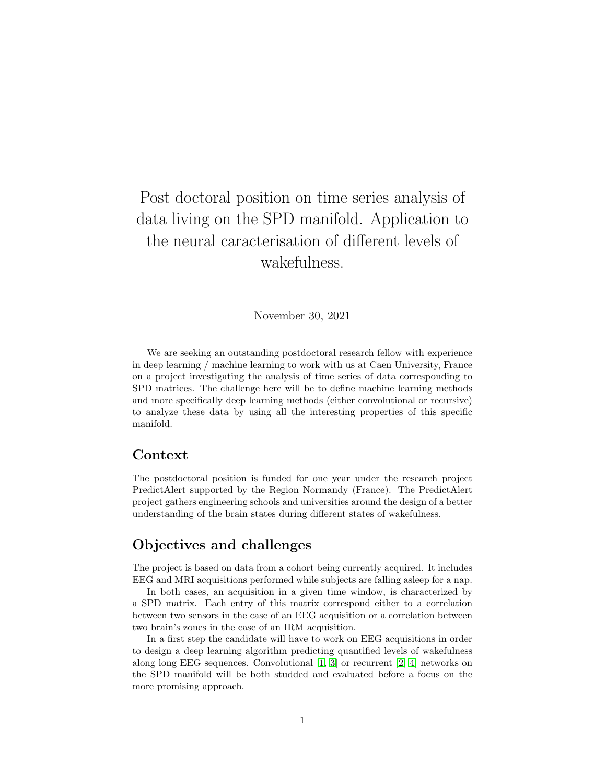# Post doctoral position on time series analysis of data living on the SPD manifold. Application to the neural caracterisation of different levels of wakefulness.

November 30, 2021

We are seeking an outstanding postdoctoral research fellow with experience in deep learning / machine learning to work with us at Caen University, France on a project investigating the analysis of time series of data corresponding to SPD matrices. The challenge here will be to define machine learning methods and more specifically deep learning methods (either convolutional or recursive) to analyze these data by using all the interesting properties of this specific manifold.

#### Context

The postdoctoral position is funded for one year under the research project PredictAlert supported by the Region Normandy (France). The PredictAlert project gathers engineering schools and universities around the design of a better understanding of the brain states during different states of wakefulness.

#### Objectives and challenges

The project is based on data from a cohort being currently acquired. It includes EEG and MRI acquisitions performed while subjects are falling asleep for a nap.

In both cases, an acquisition in a given time window, is characterized by a SPD matrix. Each entry of this matrix correspond either to a correlation between two sensors in the case of an EEG acquisition or a correlation between two brain's zones in the case of an IRM acquisition.

In a first step the candidate will have to work on EEG acquisitions in order to design a deep learning algorithm predicting quantified levels of wakefulness along long EEG sequences. Convolutional  $[1, 3]$  $[1, 3]$  or recurrent  $[2, 4]$  $[2, 4]$  networks on the SPD manifold will be both studded and evaluated before a focus on the more promising approach.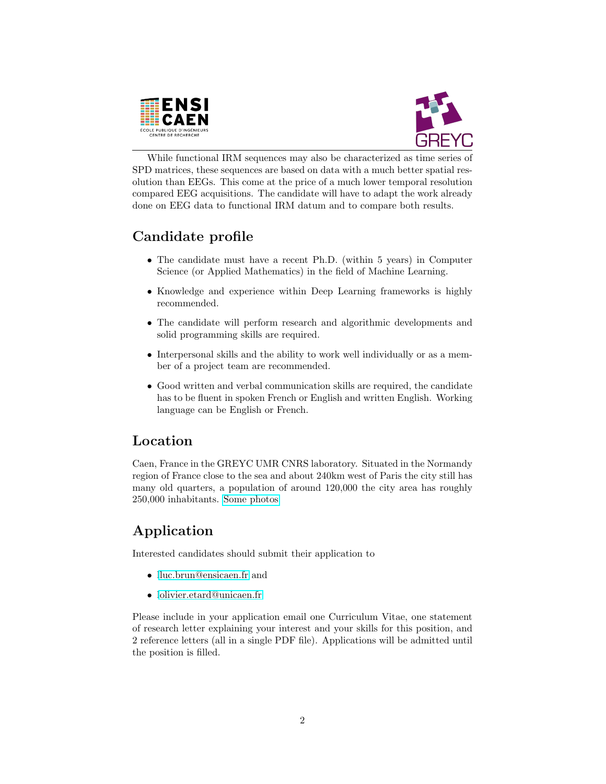



While functional IRM sequences may also be characterized as time series of SPD matrices, these sequences are based on data with a much better spatial resolution than EEGs. This come at the price of a much lower temporal resolution compared EEG acquisitions. The candidate will have to adapt the work already done on EEG data to functional IRM datum and to compare both results.

## Candidate profile

- The candidate must have a recent Ph.D. (within 5 years) in Computer Science (or Applied Mathematics) in the field of Machine Learning.
- Knowledge and experience within Deep Learning frameworks is highly recommended.
- The candidate will perform research and algorithmic developments and solid programming skills are required.
- Interpersonal skills and the ability to work well individually or as a member of a project team are recommended.
- Good written and verbal communication skills are required, the candidate has to be fluent in spoken French or English and written English. Working language can be English or French.

## Location

Caen, France in the GREYC UMR CNRS laboratory. Situated in the Normandy region of France close to the sea and about 240km west of Paris the city still has many old quarters, a population of around 120,000 the city area has roughly 250,000 inhabitants. [Some photos](https://caen.maville.com/info/detail-galerie_-Caen-en-images-_344_GaleriePhoto.Htm)

## Application

Interested candidates should submit their application to

- [lluc.brun@ensicaen.fr](mailto:luc.brun@ensicaen.fr,olivier.etard@unicaen.fr) and
- [lolivier.etard@unicaen.fr](mailto:luc.brun@ensicaen.fr,olivier.etard@unicaen.fr)

Please include in your application email one Curriculum Vitae, one statement of research letter explaining your interest and your skills for this position, and 2 reference letters (all in a single PDF file). Applications will be admitted until the position is filled.